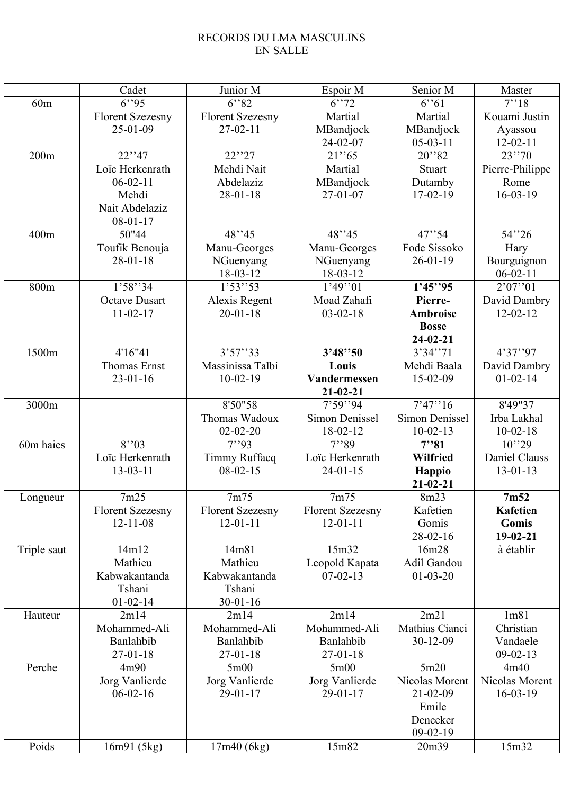## RECORDS DU LMA MASCULINS EN SALLE

|             | Cadet                   | Junior M                        | Espoir M                | Senior M              | Master                 |
|-------------|-------------------------|---------------------------------|-------------------------|-----------------------|------------------------|
| 60m         | 6''95                   | 6''82                           | 6''72                   | 6''61                 | 7''18                  |
|             | <b>Florent Szezesny</b> | <b>Florent Szezesny</b>         | Martial                 | Martial               | Kouami Justin          |
|             | $25 - 01 - 09$          | $27-02-11$                      | MBandjock               | MBandjock             | Ayassou                |
|             |                         |                                 | 24-02-07                | $05-03-11$            | $12 - 02 - 11$         |
| 200m        | 22''37                  | 22''27                          | 21''65                  | 20''82                | 23''70                 |
|             | Loïc Herkenrath         | Mehdi Nait                      | Martial                 | Stuart                | Pierre-Philippe        |
|             | $06-02-11$              | Abdelaziz                       | MBandjock               | Dutamby               | Rome                   |
|             | Mehdi                   | $28 - 01 - 18$                  | $27 - 01 - 07$          | $17-02-19$            | $16 - 03 - 19$         |
|             | Nait Abdelaziz          |                                 |                         |                       |                        |
|             | $08 - 01 - 17$          |                                 |                         |                       |                        |
| 400m        | 50"44                   | 48''35                          | 48"45                   | 47''34                | 54''26                 |
|             | Toufik Benouja          | Manu-Georges                    | Manu-Georges            | Fode Sissoko          | Hary                   |
|             | $28 - 01 - 18$          | NGuenyang                       | NGuenyang               | $26 - 01 - 19$        | Bourguignon            |
|             |                         | 18-03-12                        | 18-03-12                |                       | $06 - 02 - 11$         |
| 800m        | 1'58''34                | 1'53''53                        | 1'49''01                | 1'45''95              | 2'07''01               |
|             | <b>Octave Dusart</b>    | Alexis Regent                   | Moad Zahafi             | Pierre-               | David Dambry           |
|             | $11 - 02 - 17$          | $20 - 01 - 18$                  | $03 - 02 - 18$          | <b>Ambroise</b>       | $12 - 02 - 12$         |
|             |                         |                                 |                         | <b>Bosse</b>          |                        |
|             |                         |                                 |                         | $24 - 02 - 21$        |                        |
| 1500m       | 4'16"41                 | 3'57''33                        | 3'48''50                | 3'34''71              | $\overline{4}$ '37''97 |
|             | <b>Thomas Ernst</b>     | Massinissa Talbi                | Louis                   | Mehdi Baala           | David Dambry           |
|             | $23 - 01 - 16$          | $10-02-19$                      | Vandermessen            | 15-02-09              | $01 - 02 - 14$         |
|             |                         |                                 | $21 - 02 - 21$          |                       |                        |
| 3000m       |                         | 8'50"58                         | 7'59''94                | 7'47''16              | 8'49"37                |
|             |                         | Thomas Wadoux                   | Simon Denissel          | <b>Simon Denissel</b> | Irba Lakhal            |
|             |                         | $02 - 02 - 20$                  | 18-02-12                | $10-02-13$            | $10-02-18$             |
| 60m haies   | 8'3                     | $\overline{7}$ <sup>1</sup> .93 | 7''89                   | 7''31                 | 10''29                 |
|             | Loïc Herkenrath         | Timmy Ruffacq                   | Loïc Herkenrath         | <b>Wilfried</b>       | Daniel Clauss          |
|             | $13 - 03 - 11$          | $08-02-15$                      | $24 - 01 - 15$          | Happio                | $13 - 01 - 13$         |
|             |                         |                                 |                         | $21 - 02 - 21$        |                        |
| Longueur    | 7m25                    | 7m75                            | 7m75                    | 8m23                  | 7 <sub>m52</sub>       |
|             | <b>Florent Szezesny</b> | <b>Florent Szezesny</b>         | <b>Florent Szezesny</b> | Kafetien              | Kafetien               |
|             | $12 - 11 - 08$          | $12 - 01 - 11$                  | $12 - 01 - 11$          | Gomis                 | Gomis                  |
|             |                         |                                 |                         | $28 - 02 - 16$        | $19-02-21$             |
| Triple saut | 14m12                   | 14m81                           | 15m32                   | 16m28                 | à établir              |
|             | Mathieu                 | Mathieu                         | Leopold Kapata          | Adil Gandou           |                        |
|             | Kabwakantanda           | Kabwakantanda                   | $07 - 02 - 13$          | $01 - 03 - 20$        |                        |
|             | Tshani                  | Tshani                          |                         |                       |                        |
|             | $01 - 02 - 14$          | $30 - 01 - 16$                  |                         |                       |                        |
| Hauteur     | 2m14                    | 2m14                            | 2m14                    | 2m21                  | 1 <sub>m81</sub>       |
|             | Mohammed-Ali            | Mohammed-Ali                    | Mohammed-Ali            | Mathias Cianci        | Christian              |
|             | Banlahbib               | Banlahbib                       | Banlahbib               | 30-12-09              | Vandaele               |
|             | $27 - 01 - 18$          | $27 - 01 - 18$                  | $27 - 01 - 18$          |                       | $09 - 02 - 13$         |
| Perche      | 4m90                    | 5m00                            | 5m00                    | 5m20                  | 4m40                   |
|             | Jorg Vanlierde          | Jorg Vanlierde                  | Jorg Vanlierde          | Nicolas Morent        | Nicolas Morent         |
|             | $06 - 02 - 16$          | $29-01-17$                      | $29 - 01 - 17$          | $21 - 02 - 09$        | $16-03-19$             |
|             |                         |                                 |                         | Emile                 |                        |
|             |                         |                                 |                         | Denecker              |                        |
|             |                         |                                 |                         | $09-02-19$            |                        |
| Poids       | 16m91(5kg)              | 17m40(6kg)                      | 15m82                   | 20m39                 | 15m32                  |